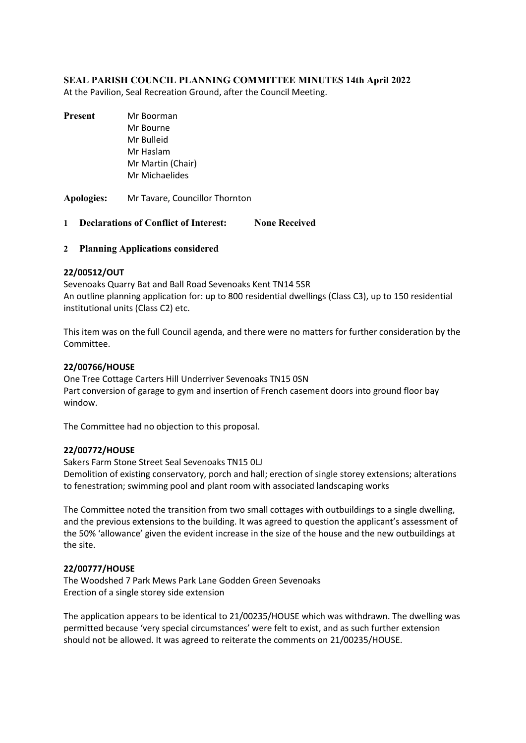# **SEAL PARISH COUNCIL PLANNING COMMITTEE MINUTES 14th April 2022**

At the Pavilion, Seal Recreation Ground, after the Council Meeting.

- **Present** Mr Boorman Mr Bourne Mr Bulleid Mr Haslam Mr Martin (Chair) Mr Michaelides
- **Apologies:** Mr Tavare, Councillor Thornton
- **1 Declarations of Conflict of Interest: None Received**
- **2 Planning Applications considered**

### **22/00512/OUT**

Sevenoaks Quarry Bat and Ball Road Sevenoaks Kent TN14 5SR An outline planning application for: up to 800 residential dwellings (Class C3), up to 150 residential institutional units (Class C2) etc.

This item was on the full Council agenda, and there were no matters for further consideration by the Committee.

# **22/00766/HOUSE**

One Tree Cottage Carters Hill Underriver Sevenoaks TN15 0SN Part conversion of garage to gym and insertion of French casement doors into ground floor bay window.

The Committee had no objection to this proposal.

### **22/00772/HOUSE**

Sakers Farm Stone Street Seal Sevenoaks TN15 0LJ

Demolition of existing conservatory, porch and hall; erection of single storey extensions; alterations to fenestration; swimming pool and plant room with associated landscaping works

The Committee noted the transition from two small cottages with outbuildings to a single dwelling, and the previous extensions to the building. It was agreed to question the applicant's assessment of the 50% 'allowance' given the evident increase in the size of the house and the new outbuildings at the site.

### **22/00777/HOUSE**

The Woodshed 7 Park Mews Park Lane Godden Green Sevenoaks Erection of a single storey side extension

The application appears to be identical to 21/00235/HOUSE which was withdrawn. The dwelling was permitted because 'very special circumstances' were felt to exist, and as such further extension should not be allowed. It was agreed to reiterate the comments on 21/00235/HOUSE.